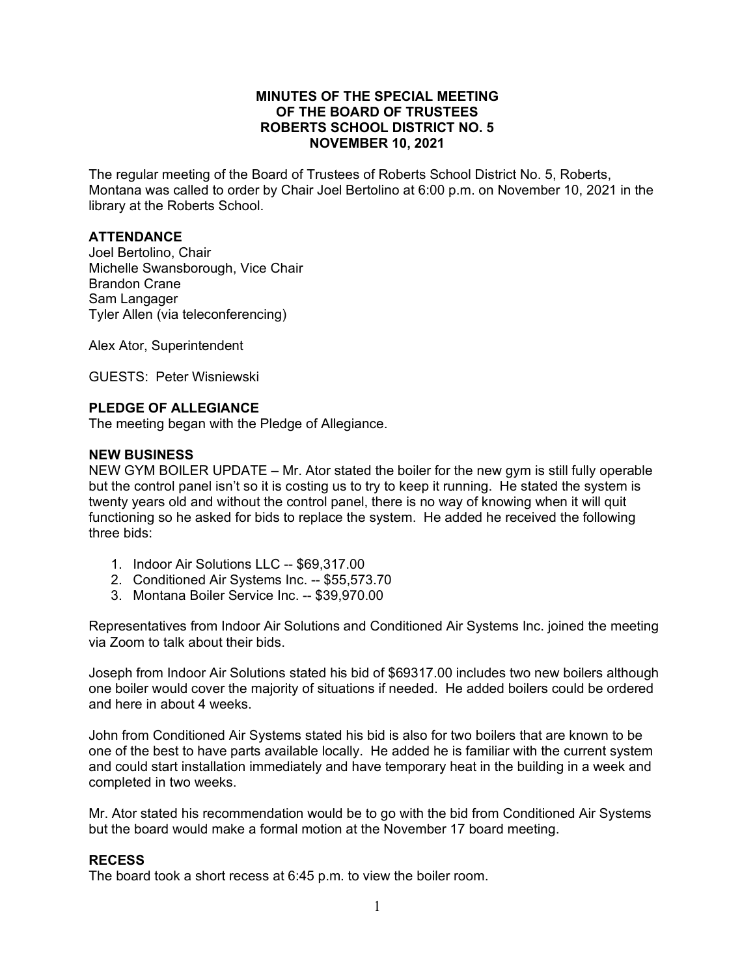## **MINUTES OF THE SPECIAL MEETING OF THE BOARD OF TRUSTEES ROBERTS SCHOOL DISTRICT NO. 5 NOVEMBER 10, 2021**

The regular meeting of the Board of Trustees of Roberts School District No. 5, Roberts, Montana was called to order by Chair Joel Bertolino at 6:00 p.m. on November 10, 2021 in the library at the Roberts School.

## **ATTENDANCE**

Joel Bertolino, Chair Michelle Swansborough, Vice Chair Brandon Crane Sam Langager Tyler Allen (via teleconferencing)

Alex Ator, Superintendent

GUESTS: Peter Wisniewski

### **PLEDGE OF ALLEGIANCE**

The meeting began with the Pledge of Allegiance.

#### **NEW BUSINESS**

NEW GYM BOILER UPDATE – Mr. Ator stated the boiler for the new gym is still fully operable but the control panel isn't so it is costing us to try to keep it running. He stated the system is twenty years old and without the control panel, there is no way of knowing when it will quit functioning so he asked for bids to replace the system. He added he received the following three bids:

- 1. Indoor Air Solutions LLC -- \$69,317.00
- 2. Conditioned Air Systems Inc. -- \$55,573.70
- 3. Montana Boiler Service Inc. -- \$39,970.00

Representatives from Indoor Air Solutions and Conditioned Air Systems Inc. joined the meeting via Zoom to talk about their bids.

Joseph from Indoor Air Solutions stated his bid of \$69317.00 includes two new boilers although one boiler would cover the majority of situations if needed. He added boilers could be ordered and here in about 4 weeks.

John from Conditioned Air Systems stated his bid is also for two boilers that are known to be one of the best to have parts available locally. He added he is familiar with the current system and could start installation immediately and have temporary heat in the building in a week and completed in two weeks.

Mr. Ator stated his recommendation would be to go with the bid from Conditioned Air Systems but the board would make a formal motion at the November 17 board meeting.

### **RECESS**

The board took a short recess at 6:45 p.m. to view the boiler room.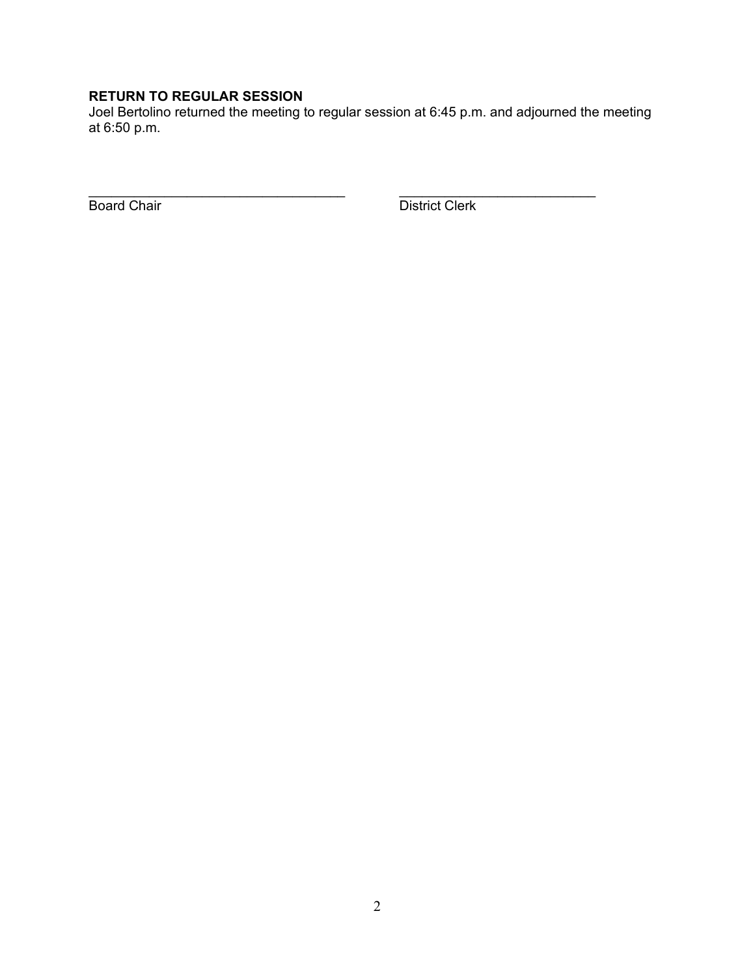# **RETURN TO REGULAR SESSION**

Joel Bertolino returned the meeting to regular session at 6:45 p.m. and adjourned the meeting at 6:50 p.m.

\_\_\_\_\_\_\_\_\_\_\_\_\_\_\_\_\_\_\_\_\_\_\_\_\_\_\_\_\_\_\_\_\_\_ \_\_\_\_\_\_\_\_\_\_\_\_\_\_\_\_\_\_\_\_\_\_\_\_\_\_

**Board Chair** District Clerk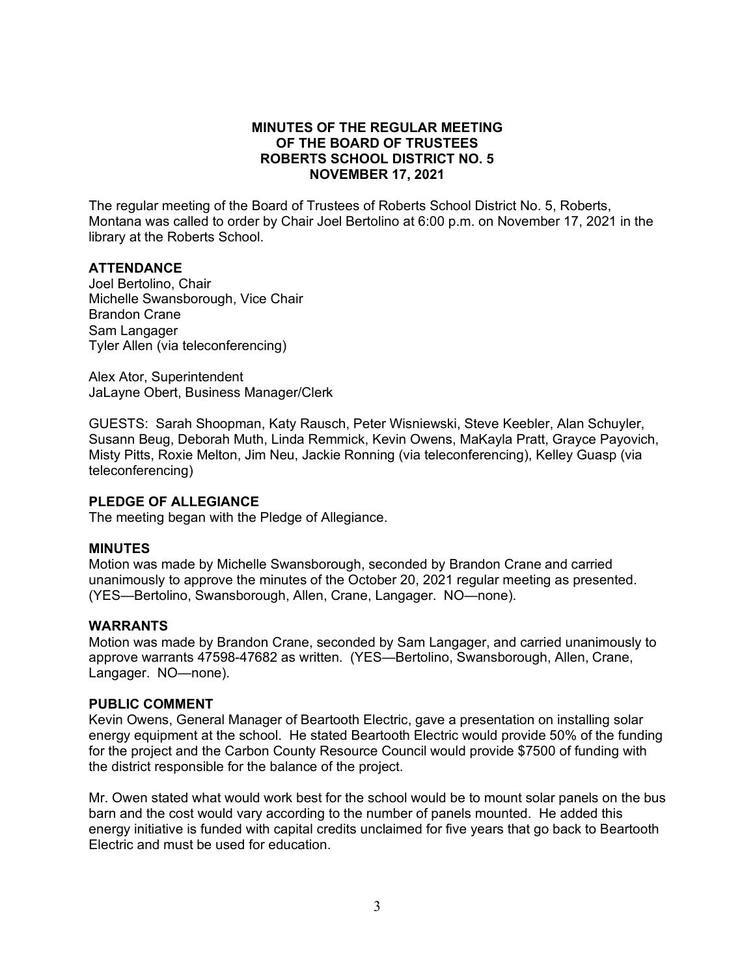## **MINUTES OF THE REGULAR MEETING OF THE BOARD OF TRUSTEES ROBERTS SCHOOL DISTRICT NO. 5 NOVEMBER 17, 2021**

The regular meeting of the Board of Trustees of Roberts School District No. 5, Roberts, Montana was called to order by Chair Joel Bertolino at 6:00 p.m. on November 17, 2021 in the library at the Roberts School.

## **ATTENDANCE**

Joel Bertolino, Chair Michelle Swansborough, Vice Chair Brandon Crane Sam Langager Tyler Allen (via teleconferencing)

Alex Ator, Superintendent JaLayne Obert, Business Manager/Clerk

GUESTS: Sarah Shoopman, Katy Rausch, Peter Wisniewski, Steve Keebler, Alan Schuyler, Susann Beug, Deborah Muth, Linda Remmick, Kevin Owens, MaKayla Pratt, Grayce Payovich, Misty Pitts, Roxie Melton, Jim Neu, Jackie Ronning (via teleconferencing), Kelley Guasp (via teleconferencing)

## **PLEDGE OF ALLEGIANCE**

The meeting began with the Pledge of Allegiance.

### **MINUTES**

Motion was made by Michelle Swansborough, seconded by Brandon Crane and carried unanimously to approve the minutes of the October 20, 2021 regular meeting as presented. (YES—Bertolino, Swansborough, Allen, Crane, Langager. NO—none).

### **WARRANTS**

Motion was made by Brandon Crane, seconded by Sam Langager, and carried unanimously to approve warrants 47598-47682 as written. (YES—Bertolino, Swansborough, Allen, Crane, Langager. NO—none).

## **PUBLIC COMMENT**

Kevin Owens, General Manager of Beartooth Electric, gave a presentation on installing solar energy equipment at the school. He stated Beartooth Electric would provide 50% of the funding for the project and the Carbon County Resource Council would provide \$7500 of funding with the district responsible for the balance of the project.

Mr. Owen stated what would work best for the school would be to mount solar panels on the bus barn and the cost would vary according to the number of panels mounted. He added this energy initiative is funded with capital credits unclaimed for five years that go back to Beartooth Electric and must be used for education.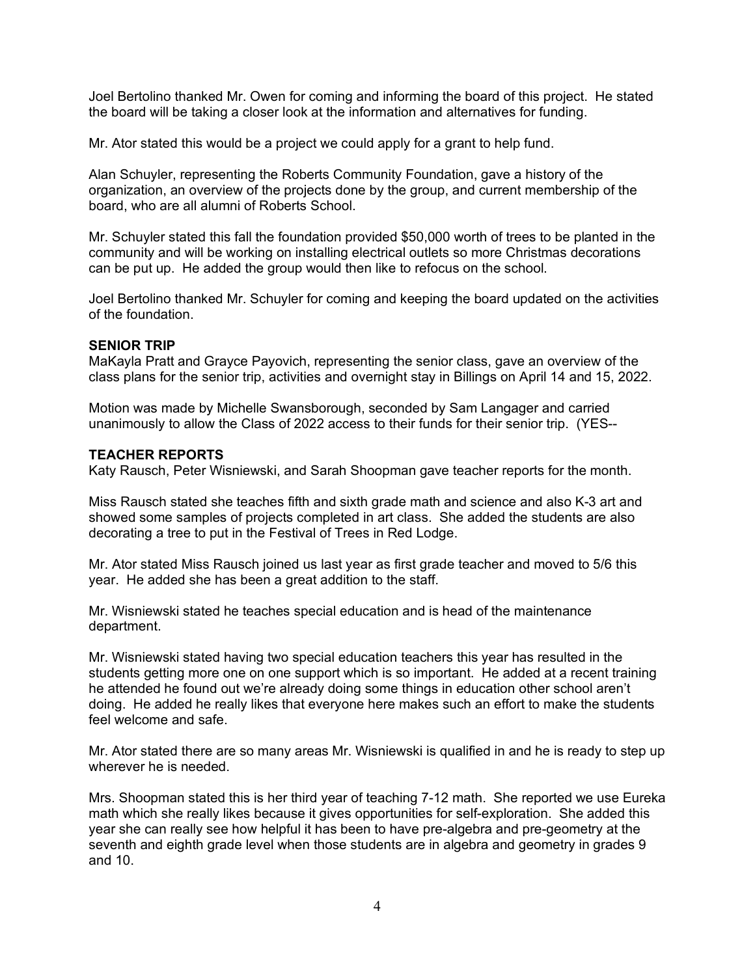Joel Bertolino thanked Mr. Owen for coming and informing the board of this project. He stated the board will be taking a closer look at the information and alternatives for funding.

Mr. Ator stated this would be a project we could apply for a grant to help fund.

Alan Schuyler, representing the Roberts Community Foundation, gave a history of the organization, an overview of the projects done by the group, and current membership of the board, who are all alumni of Roberts School.

Mr. Schuyler stated this fall the foundation provided \$50,000 worth of trees to be planted in the community and will be working on installing electrical outlets so more Christmas decorations can be put up. He added the group would then like to refocus on the school.

Joel Bertolino thanked Mr. Schuyler for coming and keeping the board updated on the activities of the foundation.

## **SENIOR TRIP**

MaKayla Pratt and Grayce Payovich, representing the senior class, gave an overview of the class plans for the senior trip, activities and overnight stay in Billings on April 14 and 15, 2022.

Motion was made by Michelle Swansborough, seconded by Sam Langager and carried unanimously to allow the Class of 2022 access to their funds for their senior trip. (YES--

### **TEACHER REPORTS**

Katy Rausch, Peter Wisniewski, and Sarah Shoopman gave teacher reports for the month.

Miss Rausch stated she teaches fifth and sixth grade math and science and also K-3 art and showed some samples of projects completed in art class. She added the students are also decorating a tree to put in the Festival of Trees in Red Lodge.

Mr. Ator stated Miss Rausch joined us last year as first grade teacher and moved to 5/6 this year. He added she has been a great addition to the staff.

Mr. Wisniewski stated he teaches special education and is head of the maintenance department.

Mr. Wisniewski stated having two special education teachers this year has resulted in the students getting more one on one support which is so important. He added at a recent training he attended he found out we're already doing some things in education other school aren't doing. He added he really likes that everyone here makes such an effort to make the students feel welcome and safe.

Mr. Ator stated there are so many areas Mr. Wisniewski is qualified in and he is ready to step up wherever he is needed.

Mrs. Shoopman stated this is her third year of teaching 7-12 math. She reported we use Eureka math which she really likes because it gives opportunities for self-exploration. She added this year she can really see how helpful it has been to have pre-algebra and pre-geometry at the seventh and eighth grade level when those students are in algebra and geometry in grades 9 and 10.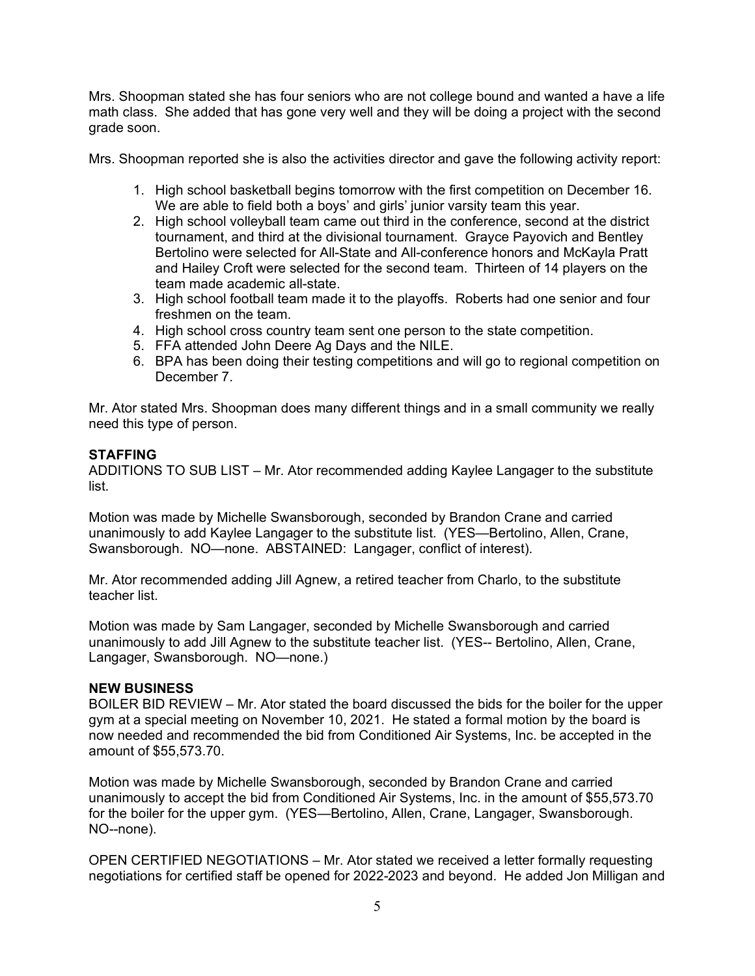Mrs. Shoopman stated she has four seniors who are not college bound and wanted a have a life math class. She added that has gone very well and they will be doing a project with the second grade soon.

Mrs. Shoopman reported she is also the activities director and gave the following activity report:

- 1. High school basketball begins tomorrow with the first competition on December 16. We are able to field both a boys' and girls' junior varsity team this year.
- 2. High school volleyball team came out third in the conference, second at the district tournament, and third at the divisional tournament. Grayce Payovich and Bentley Bertolino were selected for All-State and All-conference honors and McKayla Pratt and Hailey Croft were selected for the second team. Thirteen of 14 players on the team made academic all-state.
- 3. High school football team made it to the playoffs. Roberts had one senior and four freshmen on the team.
- 4. High school cross country team sent one person to the state competition.
- 5. FFA attended John Deere Ag Days and the NILE.
- 6. BPA has been doing their testing competitions and will go to regional competition on December 7.

Mr. Ator stated Mrs. Shoopman does many different things and in a small community we really need this type of person.

## **STAFFING**

ADDITIONS TO SUB LIST – Mr. Ator recommended adding Kaylee Langager to the substitute list.

Motion was made by Michelle Swansborough, seconded by Brandon Crane and carried unanimously to add Kaylee Langager to the substitute list. (YES—Bertolino, Allen, Crane, Swansborough. NO—none. ABSTAINED: Langager, conflict of interest).

Mr. Ator recommended adding Jill Agnew, a retired teacher from Charlo, to the substitute teacher list.

Motion was made by Sam Langager, seconded by Michelle Swansborough and carried unanimously to add Jill Agnew to the substitute teacher list. (YES-- Bertolino, Allen, Crane, Langager, Swansborough. NO—none.)

### **NEW BUSINESS**

BOILER BID REVIEW – Mr. Ator stated the board discussed the bids for the boiler for the upper gym at a special meeting on November 10, 2021. He stated a formal motion by the board is now needed and recommended the bid from Conditioned Air Systems, Inc. be accepted in the amount of \$55,573.70.

Motion was made by Michelle Swansborough, seconded by Brandon Crane and carried unanimously to accept the bid from Conditioned Air Systems, Inc. in the amount of \$55,573.70 for the boiler for the upper gym. (YES—Bertolino, Allen, Crane, Langager, Swansborough. NO--none).

OPEN CERTIFIED NEGOTIATIONS – Mr. Ator stated we received a letter formally requesting negotiations for certified staff be opened for 2022-2023 and beyond. He added Jon Milligan and